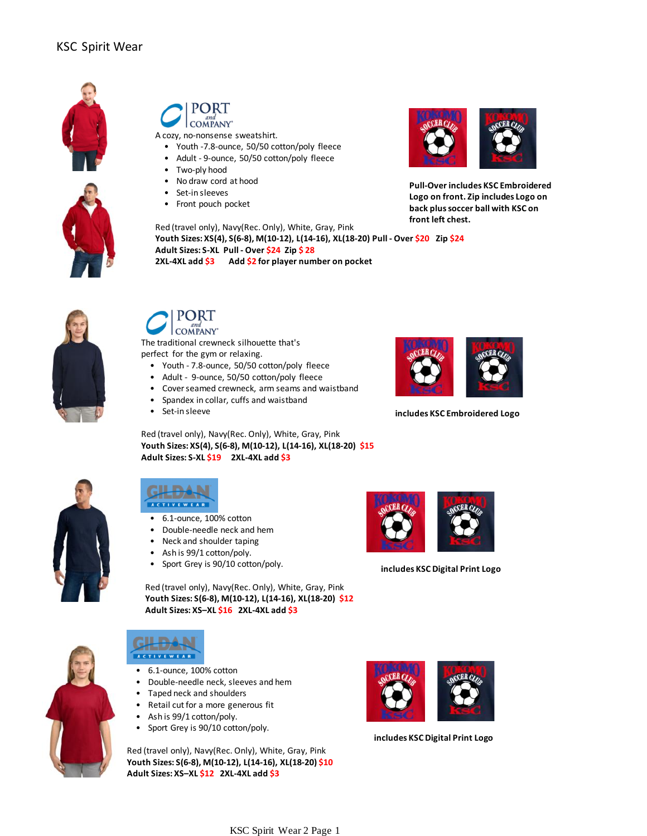



A cozy, no-nonsense sweatshirt.

- Youth -7.8-ounce, 50/50 cotton/poly fleece
- Adult 9-ounce, 50/50 cotton/poly fleece
- Two-ply hood
- No draw cord at hood
- Set-in sleeves
- Front pouch pocket

Red (travel only), Navy(Rec. Only), White, Gray, Pink **Youth Sizes: XS(4), S(6-8), M(10-12), L(14-16), XL(18-20) Pull - Over \$20 Zip \$24 Adult Sizes: S-XL Pull - Over \$24 Zip \$ 28 2XL-4XL add \$3 Add \$2 for player number on pocket**



COMPANY'

The traditional crewneck silhouette that's perfect for the gym or relaxing.

- Youth 7.8-ounce, 50/50 cotton/poly fleece
- Adult 9-ounce, 50/50 cotton/poly fleece
- Cover seamed crewneck, arm seams and waistband
- Spandex in collar, cuffs and waistband
- Set-in sleeve

Red (travel only), Navy(Rec. Only), White, Gray, Pink **Youth Sizes: XS(4), S(6-8), M(10-12), L(14-16), XL(18-20) \$15 Adult Sizes: S-XL \$19 2XL-4XL add \$3**





- 6.1-ounce, 100% cotton
- Double-needle neck and hem
- Neck and shoulder taping
- Ash is 99/1 cotton/poly.
- Sport Grey is 90/10 cotton/poly.

 Red (travel only), Navy(Rec. Only), White, Gray, Pink  **Youth Sizes: S(6-8), M(10-12), L(14-16), XL(18-20) \$12 Adult Sizes: XS–XL \$16 2XL-4XL add \$3**





- 6.1-ounce, 100% cotton
- Double-needle neck, sleeves and hem
- Taped neck and shoulders • Retail cut for a more generous fit
- 
- Ash is 99/1 cotton/poly.
- Sport Grey is 90/10 cotton/poly.

Red (travel only), Navy(Rec. Only), White, Gray, Pink **Youth Sizes: S(6-8), M(10-12), L(14-16), XL(18-20) \$10 Adult Sizes: XS–XL \$12 2XL-4XL add \$3**



**Pull-Over includes KSC Embroidered Logo on front. Zip includes Logo on back plus soccer ball with KSC on front left chest.**



**includes KSC Embroidered Logo**



**includes KSC Digital Print Logo**



**includes KSC Digital Print Logo**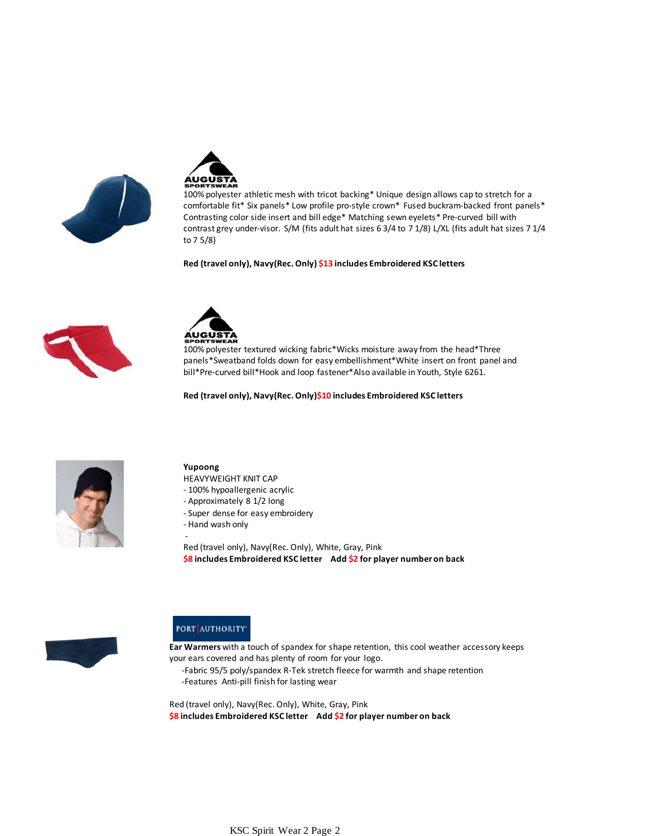



100% polyester athletic mesh with tricot backing\* Unique design allows cap to stretch for a comfortable fit\* Six panels\* Low profile pro-style crown\* Fused buckram-backed front panels\* Contrasting color side insert and bill edge\* Matching sewn eyelets\* Pre-curved bill with contrast grey under-visor. S/M (fits adult hat sizes 6 3/4 to 7 1/8) L/XL (fits adult hat sizes 7 1/4 to 7 5/8)

**Red (travel only), Navy(Rec. Only) \$13 includes Embroidered KSC letters**





100% polyester textured wicking fabric\*Wicks moisture away from the head\*Three panels\*Sweatband folds down for easy embellishment\*White insert on front panel and bill\*Pre-curved bill\*Hook and loop fastener\*Also available in Youth, Style 6261.

**Red (travel only), Navy(Rec. Only)\$10 includes Embroidered KSC letters**



#### **Yupoong**

-

HEAVYWEIGHT KNIT CAP

- 100% hypoallergenic acrylic
- Approximately 8 1/2 long
- Super dense for easy embroidery
- Hand wash only

Red (travel only), Navy(Rec. Only), White, Gray, Pink **\$8 includes Embroidered KSC letter Add \$2 for player number on back**



#### PORT AUTHORITY

**Ear Warmers** with a touch of spandex for shape retention, this cool weather accessory keeps your ears covered and has plenty of room for your logo.

 -Fabric 95/5 poly/spandex R-Tek stretch fleece for warmth and shape retention -Features Anti-pill finish for lasting wear

Red (travel only), Navy(Rec. Only), White, Gray, Pink **\$8 includes Embroidered KSC letter Add \$2 for player number on back**